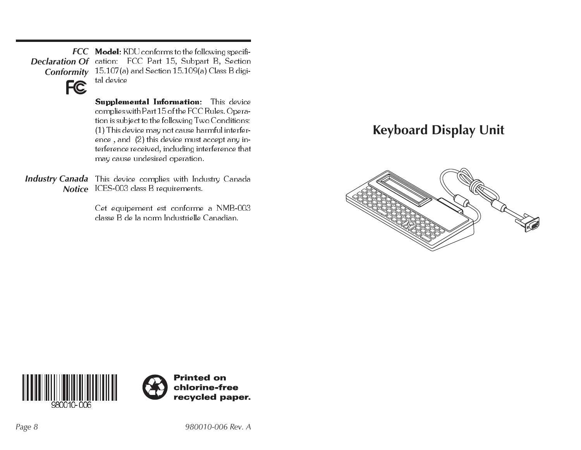*FCC* Model: KDU conforms to the following specifi-*Declaration Of* **Conformity** 15.107(a) and Section 15.109(a) Class B digital device



**Supplemental Information**: This device complies with Part 15 of the FCC Rules. Operation is subject to the following Two Conditions: (1 ) This device may not cause harmful interference , and (2) this device must accept any interference received, including interference that may cause undesired operation.

**Industry Canada** This device complies with Industry Canada *Notice* ICES-003 class B requirements.

> Cet equipement est conforme a NMB-003 classe B de la norm Industrielle Canadian.

## **Keyboard Display Unit**





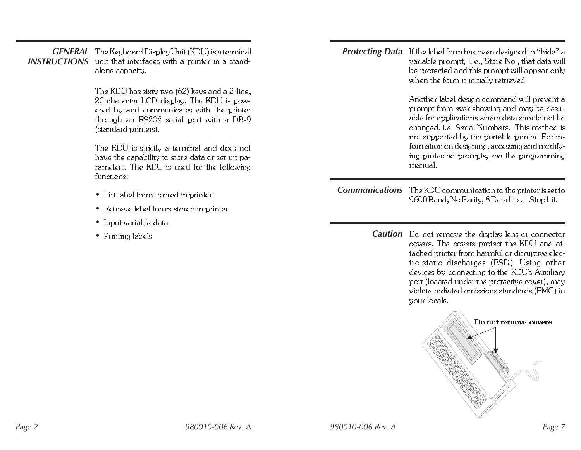## $\bm{GENERAL}\quad$  The Keyboard Display Unit (KDU) is a terminal INSTRUCTIONS unit that interfaces with a printer in a standalone capacity.

The KDU has sixty-two (62) keys and a 2-line, 20 character LCD display. The KDU is powered by and communicates with the printer through an RS232 serial port with a DB-9 (standard printers).

The KDU is strictly a terminal and does not have the capability to store data or set up parameters. The KDU is used for the following functions:

- List label forms stored in printer
- Retrieve label forms stored in printer
- Input variable data
- Printing labels

| <b>Protecting Data</b> | If the label form has been designed to "hide" a<br>variable prompt, i.e., Store No., that data will<br>be protected and this prompt will appear only<br>when the form is initially retrieved.<br>Another label design command will prevent a<br>prompt from ever showing and may be desir-<br>able for applications where data should not be<br>changed, i.e. Serial Numbers. This method is<br>not supported by the portable printer. For in-<br>formation on designing, accessing and modify-<br>ing protected prompts, see the programming<br>manual. |
|------------------------|----------------------------------------------------------------------------------------------------------------------------------------------------------------------------------------------------------------------------------------------------------------------------------------------------------------------------------------------------------------------------------------------------------------------------------------------------------------------------------------------------------------------------------------------------------|
| <b>Communications</b>  | The KDU communication to the printer is set to<br>9600 Baud, No Parity, 8 Data bits, 1 Stop bit.                                                                                                                                                                                                                                                                                                                                                                                                                                                         |
| <b>Caution</b>         | Do not remove the display lens or connector<br>covers. The covers protect the KDU and at-<br>tached printer from harmful or disruptive elec-<br>tro-static discharges (ESD). Using other<br>devices by connecting to the KDU's Auxiliary<br>port (located under the protective cover), may<br>violate radiated emissions standards (EMC) in<br>your locale.                                                                                                                                                                                              |

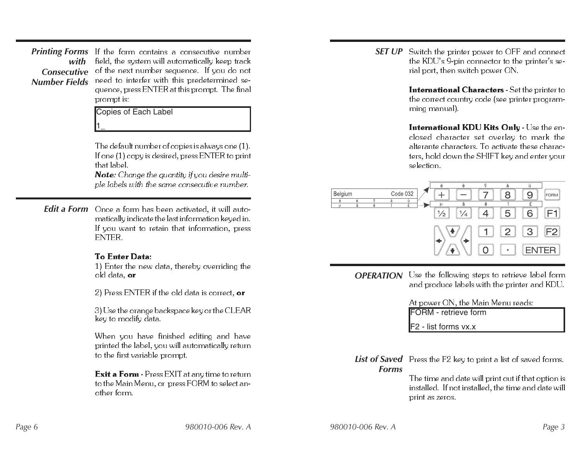**Printing Forms** If the form contains a consecutive number *with*Consecutive of the next number sequence. If you do not *Number Fields*field, the system will automatically keep track need to interfer with this predetermined sequence, press ENTER at this prompt. The final prompt is:

Copies of Each Label

1\_

The default number of copies is always one (1 ).  $\,$ If one (1) copy is desired, press ENTER to print that label.

 $\operatorname{\mathsf{Note:}}$  Change the quantity if you desire multiple labels with the same consecutive number.

**Edit a Form** Once a form has been activated, it will automatically indicate the last information keyed in. If you want to retain that information, press **ENTER** 

## To Enter Data:

1) Enter the new data, thereby overriding the old data, **or** 

2) Press ENTER if the old data is correct, **or** 

3) Use the orange backspace key or the CLEAR key to modify data.

When you have finished editing and have printed the label, you will automatically return to the first variable prompt.

 ${\rm Exit\ a\ Form}$  - Press  ${\rm EXIT}$  at any time to return to the Main Menu, or press FORM to select another form.

**SET UP** Switch the printer power to OFF and connect the KDU's 9-pin connector to the printer's serial port, then switch power ON.

> **International Characters** - Set the printer to the correct country code (see printer programming manual).

> **International KDU Kits Only** - Use the enclosed character set overlay to mark the alterante characters. To activate these characters, hold down the SHIFT key and enter your selection.



**OPERATION** Use the following steps to retrieve label form and produce labels with the printer and KDU.

> At power ON, the Main Menu reads: FORM - retrieve form

F2 - list forms vx.x

 ${\rm List~of~Saved}$   $\,$  Press the F2 key to print a list of saved forms. *Forms*

The time and date will print out if that option is installed. If not installed, the time and date will print as zeros.